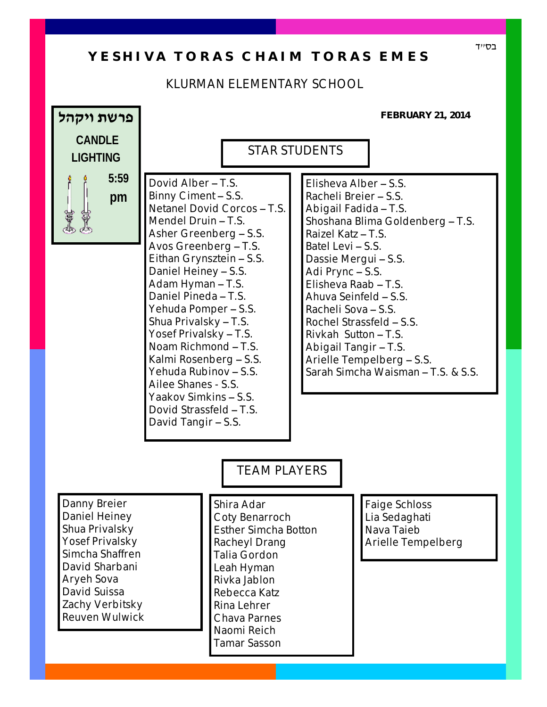## Y E S H I V A T O R A S C H A I M T O R A S E M E S

## KLURMAN ELEMENTARY SCHOOL

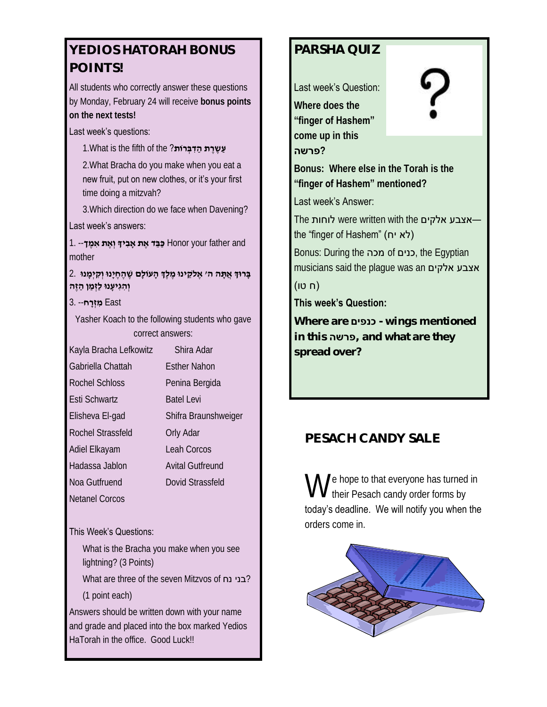# **YEDIOS HATORAH BONUS POINTS!**

All students who correctly answer these questions by Monday, February 24 will receive **bonus points on the next tests!** 

### Last week's questions:

**עַשֶרֵת הַדִּבְּרוֹת?** 1.What is the fifth of the 2.What Bracha do you make when you eat a new fruit, put on new clothes, or it's your first time doing a mitzvah?

3.Which direction do we face when Davening?

#### Last week's answers:

 and father your Honor **כַּבֵּ ד אֶ ת ָאבִ יָך וְ אֶ ת אִ מֶ ך**-- 1. mother

#### **בָּ רוְּך אֲ תָּ ה ה' אֶ ֹלקֵ ינוּ מֶ לְֶך הָ עוֹלָם שֶׁ הֶ חֶ יָנוּ וְ קִ יְמָ נוּ** 2. **וְהָגִיעָנוּ לַזְמַן הַזֵה**

#### East **מִ זְ רָ ח**-- 3.

Yasher Koach to the following students who gave correct answers:

| Kayla Bracha Lefkowitz | Shira Adar              |
|------------------------|-------------------------|
| Gabriella Chattah      | <b>Esther Nahon</b>     |
| Rochel Schloss         | Penina Bergida          |
| Esti Schwartz          | Batel Levi              |
| Elisheva El-gad        | Shifra Braunshweiger    |
| Rochel Strassfeld      | Orly Adar               |
| Adiel Elkayam          | Leah Corcos             |
| Hadassa Jablon         | <b>Avital Gutfreund</b> |
| Noa Gutfruend          | Dovid Strassfeld        |
| Netanel Corcos         |                         |

#### This Week's Questions:

What is the Bracha you make when you see lightning? (3 Points)

What are three of the seven Mitzvos of **ני נח** What (1 point each)

Answers should be written down with your name and grade and placed into the box marked Yedios HaTorah in the office. Good Luck!!

## **PARSHA QUIZ**

Last week's Question:

**Where does the "finger of Hashem" come up in this** 

 **?פרשה**



**Bonus: Where else in the Torah is the "finger of Hashem" mentioned?**

Last week's Answer:

The אצבע אלקים were written with the the "finger of Hashem" (לא יח)

Bonus: During the מכה of כנים, the Egyptian musicians said the plague was an אצבע אלקים

## (ח טו)

### **This week's Question:**

**Where are כנפים - wings mentioned in this פרשה, and what are they spread over?**

## **PESACH CANDY SALE**

We hope to that everyone has turned<br>We their Pesach candy order forms by  $\bigvee$  e hope to that everyone has turned in today's deadline. We will notify you when the orders come in.

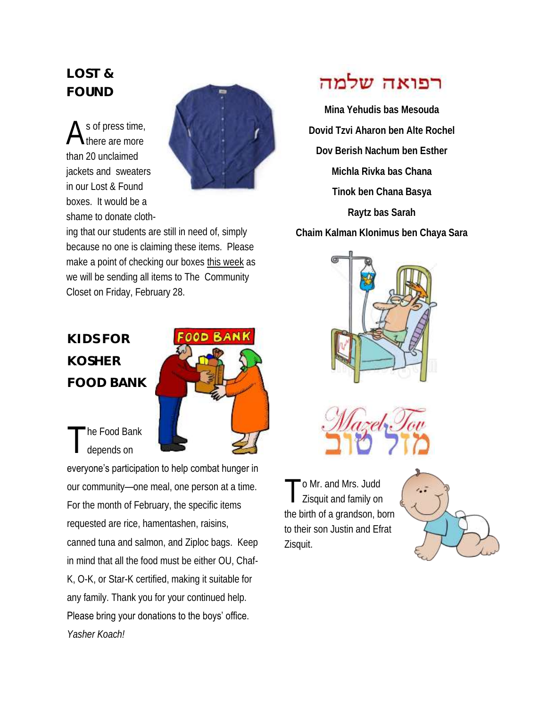# **LOST & FOUND**

A s of press time, here are more than 20 unclaimed jackets and sweaters in our Lost & Found boxes. It would be a shame to donate cloth-



ing that our students are still in need of, simply because no one is claiming these items. Please make a point of checking our boxes this week as we will be sending all items to The Community Closet on Friday, February 28.

# **KIDS FOR KOSHER FOOD BANK**



T he Food Bank depends on

everyone's participation to help combat hunger in our community—one meal, one person at a time. For the month of February, the specific items requested are rice, hamentashen, raisins, canned tuna and salmon, and Ziploc bags. Keep in mind that all the food must be either OU, Chaf-K, O-K, or Star-K certified, making it suitable for any family. Thank you for your continued help. Please bring your donations to the boys' office. *Yasher Koach!* 

# רפואה שלמה

**Mina Yehudis bas Mesouda Dovid Tzvi Aharon ben Alte Rochel Dov Berish Nachum ben Esther Michla Rivka bas Chana Tinok ben Chana Basya Raytz bas Sarah Chaim Kalman Klonimus ben Chaya Sara**



T o Mr. and Mrs. Judd Zisquit and family on the birth of a grandson, born to their son Justin and Efrat Zisquit.

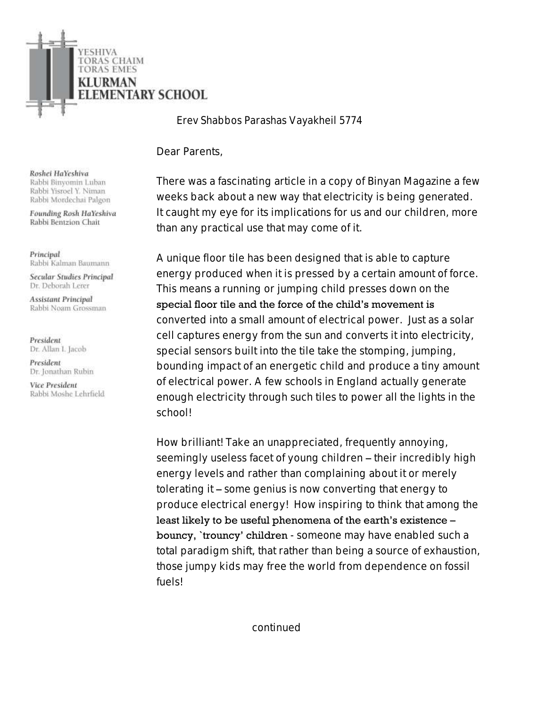

*Erev Shabbos Parashas Vayakheil 5774*

Dear Parents,

There was a fascinating article in a copy of Binyan Magazine a few weeks back about a new way that electricity is being generated. It caught my eye for its implications for us and our children, more than any practical use that may come of it.

A unique floor tile has been designed that is able to capture energy produced when it is pressed by a certain amount of force. This means a running or jumping child presses down on the special floor tile and the force of the child's movement is converted into a small amount of electrical power. Just as a solar cell captures energy from the sun and converts it into electricity, special sensors built into the tile take the stomping, jumping, bounding impact of an energetic child and produce a tiny amount of electrical power. A few schools in England actually generate enough electricity through such tiles to power all the lights in the school!

How brilliant! Take an unappreciated, frequently annoying, seemingly useless facet of young children – their incredibly high energy levels and rather than complaining about it or merely tolerating it – some genius is now converting that energy to produce electrical energy! How inspiring to think that among the least likely to be useful phenomena of the earth's existence – bouncy, 'trouncy' children - someone may have enabled such a total paradigm shift, that rather than being a source of exhaustion, those jumpy kids may free the world from dependence on fossil fuels!

Roshei HaYeshiva Rabbi Binyomin Luban Rabbi Yisroel Y. Niman Rabbi Mordechai Palgon

Founding Rosh HaYeshiva Rabbi Bentzion Chait

Principal Rabbi Kalman Baumann

Secular Studies Principal Dr. Deborah Lerer

**Assistant Principal** Rabbi Noam Grossman

President Dr. Allan I. Jacob

President Dr. Jonathan Rubin

Vice President Rabbi Moshe Lehrfield

continued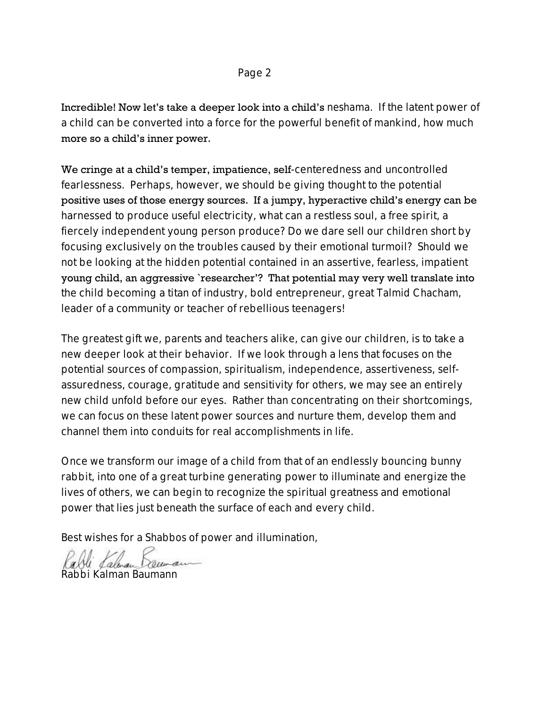## Page 2

Incredible! Now let's take a deeper look into a child's *neshama*. If the latent power of a child can be converted into a force for the powerful benefit of mankind, how much more so a child's inner power.

We cringe at a child's temper, impatience, self-centeredness and uncontrolled fearlessness. Perhaps, however, we should be giving thought to the potential positive uses of those energy sources. If a jumpy, hyperactive child's energy can be harnessed to produce useful electricity, what can a restless soul, a free spirit, a fiercely independent young person produce? Do we dare sell our children short by focusing exclusively on the troubles caused by their emotional turmoil? Should we not be looking at the hidden potential contained in an assertive, fearless, impatient young child, an aggressive `researcher'? That potential may very well translate into the child becoming a titan of industry, bold entrepreneur, great *Talmid Chacham*, leader of a community or teacher of rebellious teenagers!

The greatest gift we, parents and teachers alike, can give our children, is to take a new deeper look at their behavior. If we look through a lens that focuses on the potential sources of compassion, spiritualism, independence, assertiveness, selfassuredness, courage, gratitude and sensitivity for others, we may see an entirely new child unfold before our eyes. Rather than concentrating on their shortcomings, we can focus on these latent power sources and nurture them, develop them and channel them into conduits for real accomplishments in life.

Once we transform our image of a child from that of an endlessly bouncing bunny rabbit, into one of a great turbine generating power to illuminate and energize the lives of others, we can begin to recognize the spiritual greatness and emotional power that lies just beneath the surface of each and every child.

Best wishes for a *Shabbos* of power and illumination,

li Lalman Rabbi Kalman Bauma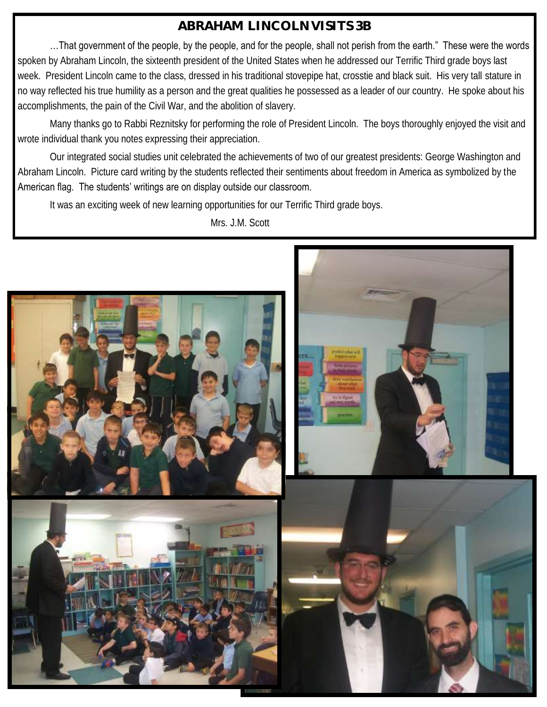# **ABRAHAM LINCOLN VISITS 3B**

…That government of the people, by the people, and for the people, shall not perish from the earth." These were the words spoken by Abraham Lincoln, the sixteenth president of the United States when he addressed our Terrific Third grade boys last week. President Lincoln came to the class, dressed in his traditional stovepipe hat, crosstie and black suit. His very tall stature in no way reflected his true humility as a person and the great qualities he possessed as a leader of our country. He spoke about his accomplishments, the pain of the Civil War, and the abolition of slavery.

Many thanks go to Rabbi Reznitsky for performing the role of President Lincoln. The boys thoroughly enjoyed the visit and wrote individual thank you notes expressing their appreciation.

Our integrated social studies unit celebrated the achievements of two of our greatest presidents: George Washington and Abraham Lincoln. Picture card writing by the students reflected their sentiments about freedom in America as symbolized by the American flag. The students' writings are on display outside our classroom.

It was an exciting week of new learning opportunities for our Terrific Third grade boys.

Mrs. J.M. Scott

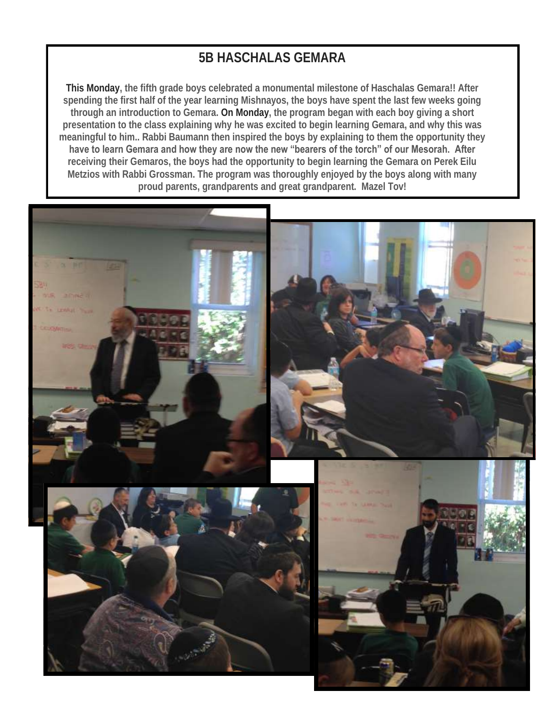# **5B HASCHALAS GEMARA**

**This Monday, the fifth grade boys celebrated a monumental milestone of Haschalas Gemara!! After spending the first half of the year learning Mishnayos, the boys have spent the last few weeks going through an introduction to Gemara. On Monday, the program began with each boy giving a short presentation to the class explaining why he was excited to begin learning Gemara, and why this was meaningful to him.. Rabbi Baumann then inspired the boys by explaining to them the opportunity they have to learn Gemara and how they are now the new "bearers of the torch" of our Mesorah. After receiving their Gemaros, the boys had the opportunity to begin learning the Gemara on Perek Eilu Metzios with Rabbi Grossman. The program was thoroughly enjoyed by the boys along with many proud parents, grandparents and great grandparent. Mazel Tov!**

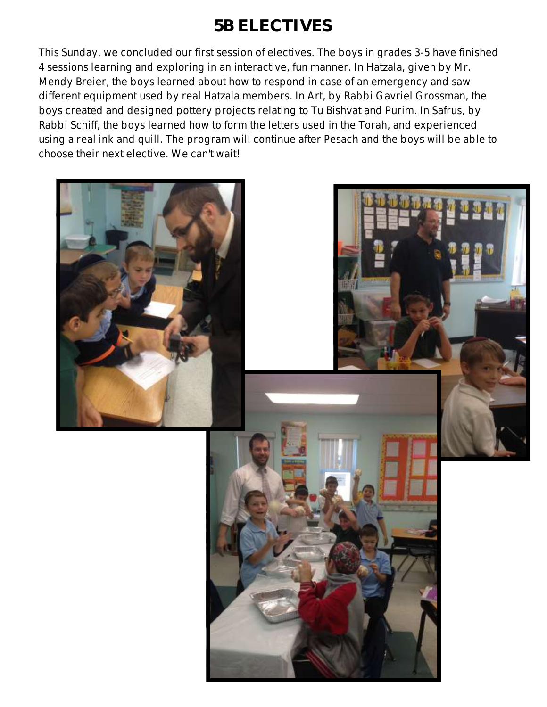# **5B ELECTIVES**

This Sunday, we concluded our first session of electives. The boys in grades 3-5 have finished 4 sessions learning and exploring in an interactive, fun manner. In Hatzala, given by Mr. Mendy Breier, the boys learned about how to respond in case of an emergency and saw different equipment used by real Hatzala members. In Art, by Rabbi Gavriel Grossman, the boys created and designed pottery projects relating to Tu Bishvat and Purim. In Safrus, by Rabbi Schiff, the boys learned how to form the letters used in the Torah, and experienced using a real ink and quill. The program will continue after Pesach and the boys will be able to choose their next elective. We can't wait!

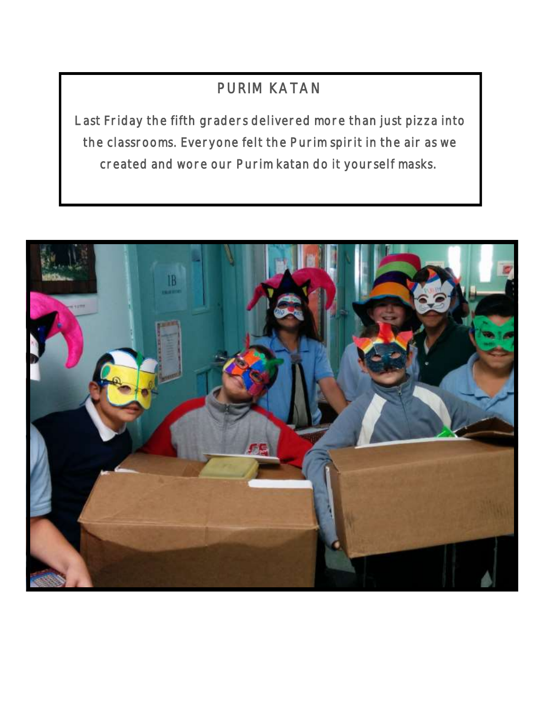# PURIM KATAN

Last Friday the fifth graders delivered more than just pizza into the classrooms. Everyone felt the Purim spirit in the air as we created and wore our Purim katan do it yourself masks.